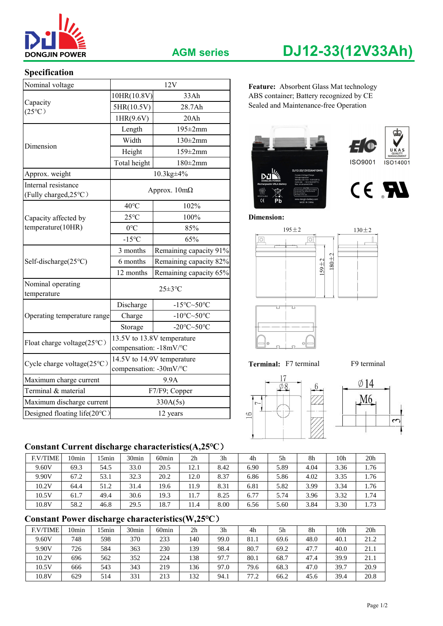

# **AGM series DJ12-33(12V33Ah)**

### **Specification**

| <b>DONGJIN POWER</b>                         |                        | <b>AGM series</b>                             | DJ12-33(12V33Ah)                        |
|----------------------------------------------|------------------------|-----------------------------------------------|-----------------------------------------|
| Specification                                |                        |                                               |                                         |
| Nominal voltage                              |                        | 12V                                           | Feature: Absorbent Glass Mat technology |
|                                              | 10HR(10.8V)            | 33Ah                                          | ABS container; Battery recognized by CE |
| Capacity                                     | 5HR(10.5V)<br>28.7Ah   |                                               | Sealed and Maintenance-free Operation   |
| $(25^{\circ}C)$                              | 1HR(9.6V)              | 20Ah                                          |                                         |
|                                              | Length                 | $195 \pm 2$ mm                                |                                         |
|                                              | Width                  | $130\pm2$ mm                                  |                                         |
| Dimension                                    | Height                 | $159 \pm 2 \text{mm}$                         | UKAS<br>QUALITY<br>MANAGEMENT           |
|                                              | Total height           | $180\pm2$ mm                                  | <b>ISO9001</b><br>ISO14001              |
| Approx. weight                               |                        | $10.3$ kg $\pm$ 4%                            | DJ12-33(12V33AH/10HF                    |
| Internal resistance<br>(Fully charged, 25°C) |                        | Approx. $10m\Omega$                           | CE RI<br>$\epsilon$                     |
|                                              | $40^{\circ}$ C         | 102%                                          | Pb                                      |
| Capacity affected by                         | $25^{\circ}$ C         | 100%                                          | <b>Dimension:</b>                       |
| temperature(10HR)                            | $0^{\circ}C$           | 85%                                           | $195 \pm 2$<br>$130 \pm 2$              |
|                                              | $-15^{\circ}C$         | 65%                                           | $\circ$                                 |
|                                              | 3 months               | Remaining capacity 91%                        |                                         |
| Self-discharge(25°C)                         | 6 months               | Remaining capacity 82%                        | $180 + 2$<br>$159 + 2$                  |
|                                              | 12 months              | Remaining capacity 65%                        |                                         |
| Nominal operating<br>temperature             |                        | $25 \pm 3$ °C                                 |                                         |
|                                              | Discharge              | -15°C~50°C                                    | 75<br>75                                |
| Operating temperature range                  | Charge                 | -10 $\textdegree$ C $\sim$ 50 $\textdegree$ C |                                         |
|                                              | Storage                | -20°C~50°C                                    |                                         |
| Float charge voltage(25°C)                   | compensation: -18mV/°C | 13.5V to 13.8V temperature                    | $\oplus$                                |
| Cycle charge voltage(25°C)                   | compensation: -30mV/°C | 14.5V to 14.9V temperature                    | F9 terminal<br>Terminal: F7 terminal    |
| Maximum charge current                       |                        | 9.9A                                          | $\emptyset$ 14                          |
| Terminal & material                          |                        | F7/F9; Copper                                 |                                         |
| Maximum discharge current                    |                        | 330A(5s)                                      | M6                                      |
| Designed floating life(20°C)                 |                        | 12 years                                      | 16                                      |

### Feature: Absorbent Glass Mat technology ABS container; Battery recognized by CE Sealed and Maintenance-free Operation

















## **Constant Current discharge characteristics(A,25℃**)

| <b>F.V/TIME</b> | l Omin | 5min | 30 <sub>min</sub> | 60 <sub>min</sub> | 2 <sub>h</sub> | 3h   | 4h   | 5h   | 8h   | 10 <sub>h</sub> | 20 <sub>h</sub> |
|-----------------|--------|------|-------------------|-------------------|----------------|------|------|------|------|-----------------|-----------------|
| 9.60V           | 69.3   | 54.5 | 33.0              | 20.5              | 12.1           | 8.42 | 6.90 | 5.89 | 4.04 | 3.36            | 1.76            |
| 9.90V           | 67.2   | 53.1 | 32.3              | 20.2              | 12.0           | 8.37 | 6.86 | 5.86 | 4.02 | 3.35            | 1.76            |
| 10.2V           | 64.4   | 51.2 | 31.4              | 19.6              | 11.9           | 8.31 | 6.81 | 5.82 | 3.99 | 3.34            | 1.76            |
| 10.5V           | 61.7   | 49.4 | 30.6              | 19.3              | 11.7           | 8.25 | 6.77 | 5.74 | 3.96 | 3.32            | 1.74            |
| 10.8V           | 58.2   | 46.8 | 29.5              | 18.7              | 11.4           | 8.00 | 6.56 | 5.60 | 3.84 | 3.30            | 1.73            |

# **Constant Power discharge characteristics(W,25℃**)

| <b>F.V/TIME</b> | 10min | 5 <sub>min</sub> | 30 <sub>min</sub> | 60 <sub>min</sub> | 2 <sub>h</sub> | 3 <sub>h</sub> | 4h   | 5h   | 8h   | 10 <sub>h</sub> | 20 <sub>h</sub> |
|-----------------|-------|------------------|-------------------|-------------------|----------------|----------------|------|------|------|-----------------|-----------------|
| 9.60V           | 748   | 598              | 370               | 233               | 140            | 99.0           | 81.1 | 69.6 | 48.0 | 40.1            | 21.2            |
| 9.90V           | 726   | 584              | 363               | 230               | 139            | 98.4           | 80.7 | 69.2 | 47.7 | 40.0            | 21.1            |
| 10.2V           | 696   | 562              | 352               | 224               | 138            | 97.7           | 80.1 | 68.7 | 47.4 | 39.9            | 21.1            |
| 10.5V           | 666   | 543              | 343               | 219               | 136            | 97.0           | 79.6 | 68.3 | 47.0 | 39.7            | 20.9            |
| 10.8V           | 629   | 514              | 331               | 213               | 132            | 94.1           | 77.2 | 66.2 | 45.6 | 39.4            | 20.8            |